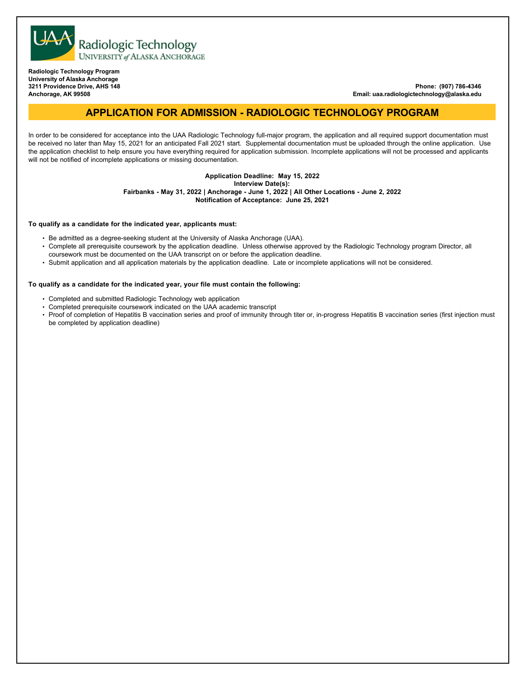

**Radiologic Technology Program University of Alaska Anchorage 3211 Providence Drive, AHS 148 Anchorage, AK 99508**

**Phone: (907) 786-4346 Email: uaa.radiologictechnology@alaska.edu**

## **APPLICATION FOR ADMISSION - RADIOLOGIC TECHNOLOGY PROGRAM**

In order to be considered for acceptance into the UAA Radiologic Technology full-major program, the application and all required support documentation must be received no later than May 15, 2021 for an anticipated Fall 2021 start. Supplemental documentation must be uploaded through the online application. Use the application checklist to help ensure you have everything required for application submission. Incomplete applications will not be processed and applicants will not be notified of incomplete applications or missing documentation.

## **Application Deadline: May 15, 2022**

**Interview Date(s):**

**Fairbanks - May 31, 2022 | Anchorage - June 1, 2022 | All Other Locations - June 2, 2022**

**Notification of Acceptance: June 25, 2021**

#### **To qualify as a candidate for the indicated year, applicants must:**

- Be admitted as a degree-seeking student at the University of Alaska Anchorage (UAA).
- Complete all prerequisite coursework by the application deadline. Unless otherwise approved by the Radiologic Technology program Director, all coursework must be documented on the UAA transcript on or before the application deadline.
- Submit application and all application materials by the application deadline. Late or incomplete applications will not be considered.

### **To qualify as a candidate for the indicated year, your file must contain the following:**

- Completed and submitted Radiologic Technology web application
- Completed prerequisite coursework indicated on the UAA academic transcript
- Proof of completion of Hepatitis B vaccination series and proof of immunity through titer or, in-progress Hepatitis B vaccination series (first injection must be completed by application deadline)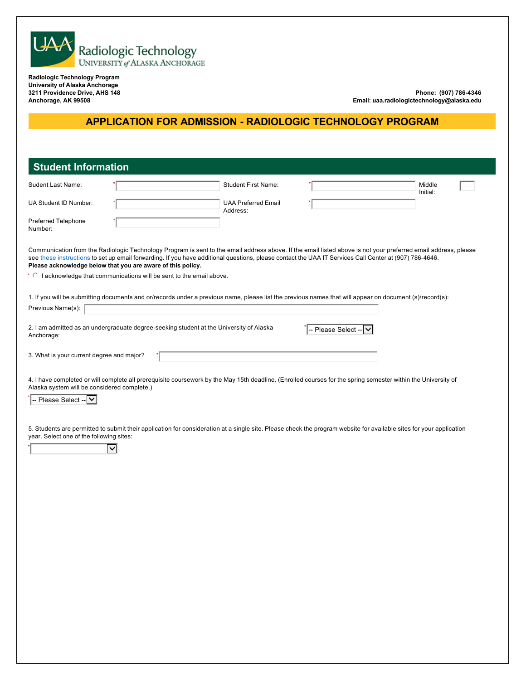

**University of Alaska Anchorage 3211 Providence Drive, AHS 148 Anchorage, AK 99508**

**Phone: (907) 786-4346 Email: uaa.radiologictechnology@alaska.edu**

# **APPLICATION FOR ADMISSION - RADIOLOGIC TECHNOLOGY PROGRAM**

| <b>Student Information</b>                                                                            |              |                                        |                                                                                                                                                        |                                                                                                                                                                     |
|-------------------------------------------------------------------------------------------------------|--------------|----------------------------------------|--------------------------------------------------------------------------------------------------------------------------------------------------------|---------------------------------------------------------------------------------------------------------------------------------------------------------------------|
| Sudent Last Name:                                                                                     |              | <b>Student First Name:</b>             |                                                                                                                                                        | Middle<br>Initial:                                                                                                                                                  |
| UA Student ID Number:                                                                                 |              | <b>UAA Preferred Email</b><br>Address: |                                                                                                                                                        |                                                                                                                                                                     |
| Preferred Telephone<br>Number:                                                                        |              |                                        |                                                                                                                                                        |                                                                                                                                                                     |
| Please acknowledge below that you are aware of this policy.                                           |              |                                        | see these instructions to set up email forwarding. If you have additional questions, please contact the UAA IT Services Call Center at (907) 786-4646. | Communication from the Radiologic Technology Program is sent to the email address above. If the email listed above is not your preferred email address, please      |
| * © I acknowledge that communications will be sent to the email above.                                |              |                                        |                                                                                                                                                        |                                                                                                                                                                     |
| Previous Name(s):                                                                                     |              |                                        |                                                                                                                                                        | 1. If you will be submitting documents and or/records under a previous name, please list the previous names that will appear on document (s)/record(s):             |
|                                                                                                       |              |                                        |                                                                                                                                                        |                                                                                                                                                                     |
| 2. I am admitted as an undergraduate degree-seeking student at the University of Alaska<br>Anchorage: |              |                                        | Please Select --                                                                                                                                       |                                                                                                                                                                     |
| 3. What is your current degree and major?                                                             |              |                                        |                                                                                                                                                        |                                                                                                                                                                     |
| year. Select one of the following sites:                                                              | $\checkmark$ |                                        |                                                                                                                                                        | 5. Students are permitted to submit their application for consideration at a single site. Please check the program website for available sites for your application |
|                                                                                                       |              |                                        |                                                                                                                                                        |                                                                                                                                                                     |
|                                                                                                       |              |                                        |                                                                                                                                                        |                                                                                                                                                                     |
|                                                                                                       |              |                                        |                                                                                                                                                        |                                                                                                                                                                     |
|                                                                                                       |              |                                        |                                                                                                                                                        |                                                                                                                                                                     |
|                                                                                                       |              |                                        |                                                                                                                                                        |                                                                                                                                                                     |
|                                                                                                       |              |                                        |                                                                                                                                                        |                                                                                                                                                                     |
|                                                                                                       |              |                                        |                                                                                                                                                        |                                                                                                                                                                     |
|                                                                                                       |              |                                        |                                                                                                                                                        |                                                                                                                                                                     |
|                                                                                                       |              |                                        |                                                                                                                                                        |                                                                                                                                                                     |
|                                                                                                       |              |                                        |                                                                                                                                                        |                                                                                                                                                                     |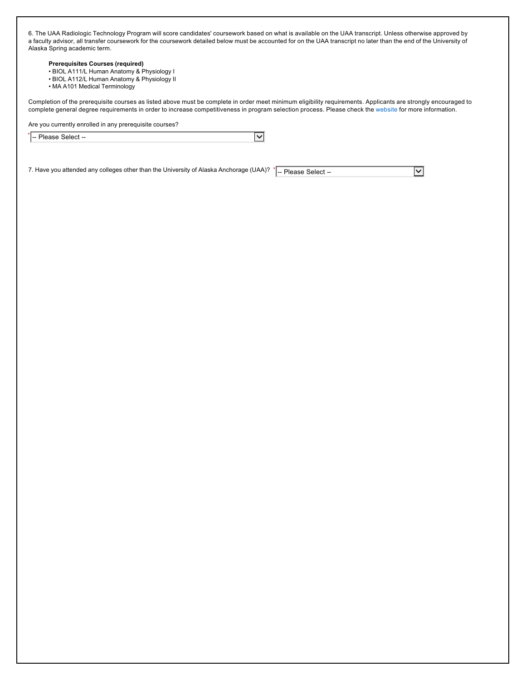6. The UAA Radiologic Technology Program will score candidates' coursework based on what is available on the UAA transcript. Unless otherwise approved by a faculty advisor, all transfer coursework for the coursework detailed below must be accounted for on the UAA transcript no later than the end of the University of Alaska Spring academic term.

### **Prerequisites Courses (required)**

- BIOL A111/L Human Anatomy & Physiology I
- BIOL A112/L Human Anatomy & Physiology II
- MA A101 Medical Terminology

Completion of the prerequisite courses as listed above must be complete in order meet minimum eligibility requirements. Applicants are strongly encouraged to complete general degree requirements in order to increase competitiveness in program selection process. Please check the website for more information.

Are you currently enrolled in any prerequisite courses?

| $\star$<br>Please S<br>:aloot<br>.<br>. SEIECL --<br>.<br>. |  |  |
|-------------------------------------------------------------|--|--|
|-------------------------------------------------------------|--|--|

7. Have you attended any colleges other than the University of Alaska Anchorage (UAA)?  $\cdot$   $\vert$ -- Please Select --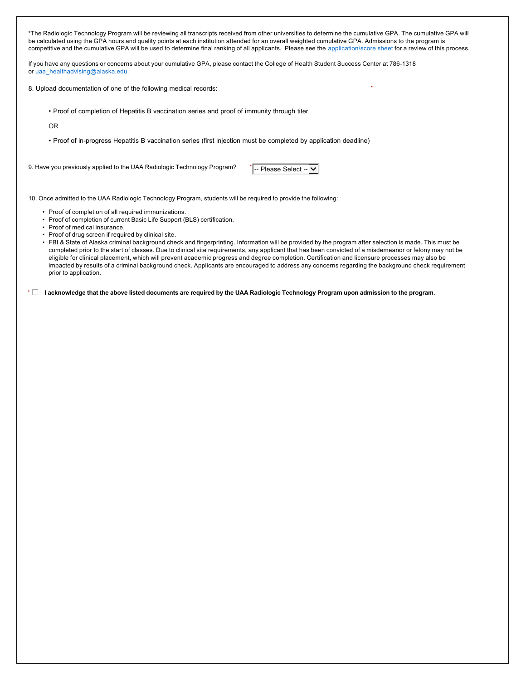\*The Radiologic Technology Program will be reviewing all transcripts received from other universities to determine the cumulative GPA. The cumulative GPA will be calculated using the GPA hours and quality points at each institution attended for an overall weighted cumulative GPA. Admissions to the program is competitive and the cumulative GPA will be used to determine final ranking of all applicants. Please see the application/score sheet for a review of this process.

If you have any questions or concerns about your cumulative GPA, please contact the College of Health Student Success Center at 786-1318 or uaa\_healthadvising@alaska.edu.

8. Upload documentation of one of the following medical records:

• Proof of completion of Hepatitis B vaccination series and proof of immunity through titer

OR

- Proof of in-progress Hepatitis B vaccination series (first injection must be completed by application deadline)
- 9. Have you previously applied to the UAA Radiologic Technology Program?

 $\overline{\phantom{a}}$  -- Please Select -- $\boxed{\smile}$ 

\*

10. Once admitted to the UAA Radiologic Technology Program, students will be required to provide the following:

- Proof of completion of all required immunizations.
- Proof of completion of current Basic Life Support (BLS) certification.
- Proof of medical insurance.
- Proof of drug screen if required by clinical site.
- FBI & State of Alaska criminal background check and fingerprinting. Information will be provided by the program after selection is made. This must be completed prior to the start of classes. Due to clinical site requirements, any applicant that has been convicted of a misdemeanor or felony may not be eligible for clinical placement, which will prevent academic progress and degree completion. Certification and licensure processes may also be impacted by results of a criminal background check. Applicants are encouraged to address any concerns regarding the background check requirement prior to application.

\* ⊡ I acknowledge that the above listed documents are required by the UAA Radiologic Technology Program upon admission to the program.